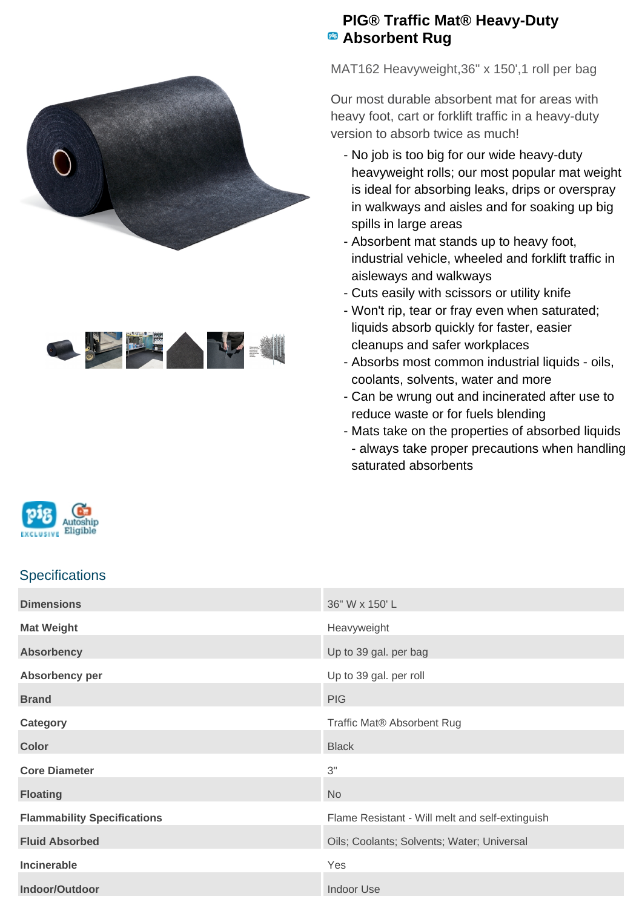



## **PIG® Traffic Mat® Heavy-Duty Absorbent Rug**

MAT162 Heavyweight,36" x 150',1 roll per bag

Our most durable absorbent mat for areas with heavy foot, cart or forklift traffic in a heavy-duty version to absorb twice as much!

- No job is too big for our wide heavy-duty heavyweight rolls; our most popular mat weight is ideal for absorbing leaks, drips or overspray in walkways and aisles and for soaking up big spills in large areas
- Absorbent mat stands up to heavy foot, industrial vehicle, wheeled and forklift traffic in aisleways and walkways
- Cuts easily with scissors or utility knife
- Won't rip, tear or fray even when saturated; liquids absorb quickly for faster, easier cleanups and safer workplaces
- Absorbs most common industrial liquids oils, coolants, solvents, water and more
- Can be wrung out and incinerated after use to reduce waste or for fuels blending
- Mats take on the properties of absorbed liquids - always take proper precautions when handling saturated absorbents



## **Specifications**

| <b>Dimensions</b>                  | 36" W x 150' L                                  |
|------------------------------------|-------------------------------------------------|
| <b>Mat Weight</b>                  | Heavyweight                                     |
| <b>Absorbency</b>                  | Up to 39 gal. per bag                           |
| Absorbency per                     | Up to 39 gal. per roll                          |
| <b>Brand</b>                       | <b>PIG</b>                                      |
| Category                           | Traffic Mat® Absorbent Rug                      |
| <b>Color</b>                       | <b>Black</b>                                    |
| <b>Core Diameter</b>               | 3"                                              |
| <b>Floating</b>                    | <b>No</b>                                       |
| <b>Flammability Specifications</b> | Flame Resistant - Will melt and self-extinguish |
| <b>Fluid Absorbed</b>              | Oils; Coolants; Solvents; Water; Universal      |
| Incinerable                        | Yes                                             |
| Indoor/Outdoor                     | <b>Indoor Use</b>                               |